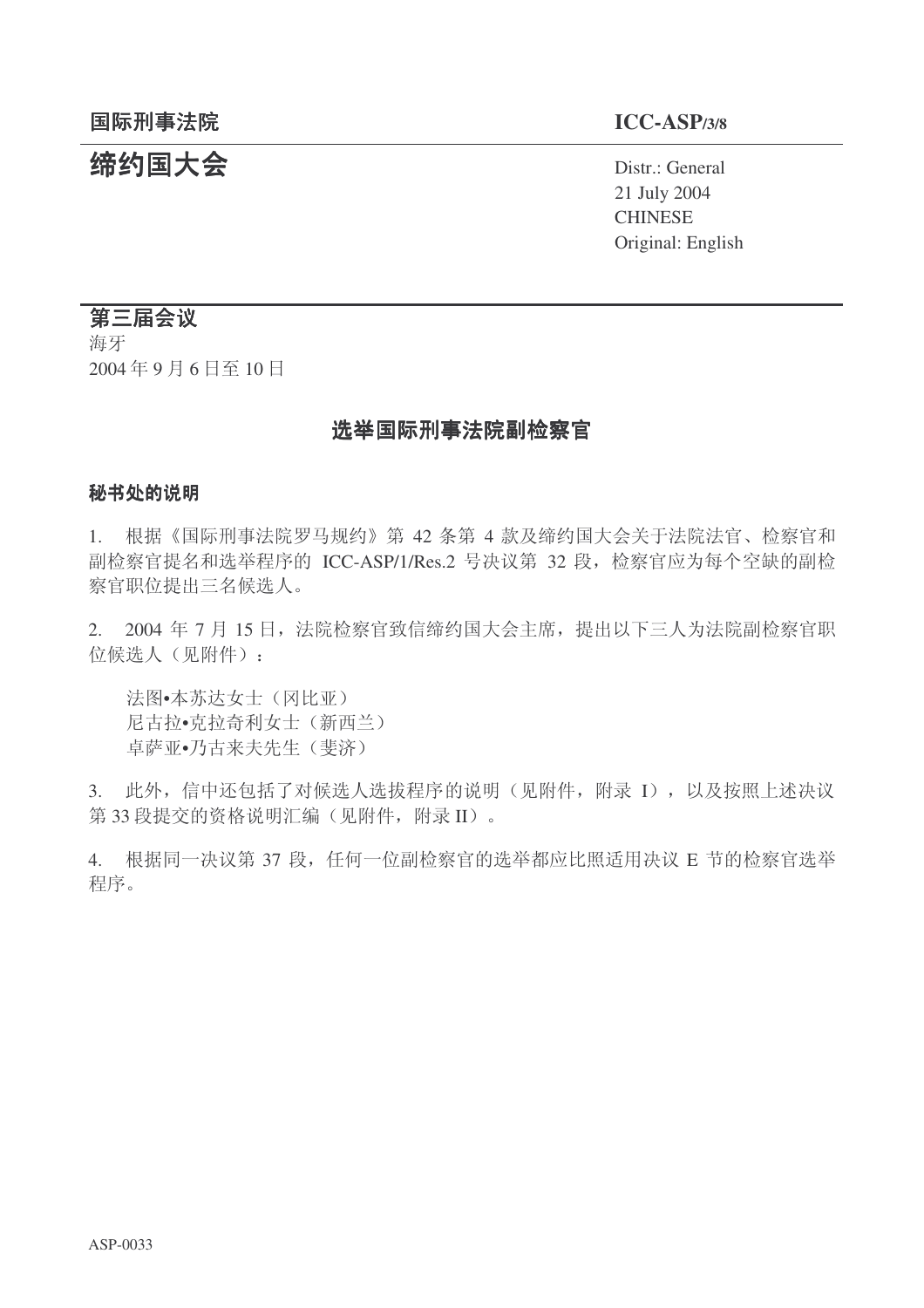# 结约国大会 **Distract Of Allen Structure of Allen Structure of Allen Structure of Allen Structure of Allen Structure**

21 July 2004 **CHINESE** Original: English

# 第三届会议

海牙 2004年9月6日至10日

# 选举国际刑事法院副检察官

## 秘书处的说明

1. 根据《国际刑事法院罗马规约》第 42 条第 4 款及缔约国大会关于法院法官、检察官和 副检察官提名和选举程序的 ICC-ASP/1/Res.2 号决议第 32 段, 检察官应为每个空缺的副检 察官职位提出三名候选人。

2. 2004 年 7 月 15 日, 法院检察官致信缔约国大会主席, 提出以下三人为法院副检察官职 位候选人(见附件):

法图•本苏达女士(冈比亚) 尼古拉•克拉奇利女士(新西兰) 卓萨亚•乃古来夫先生(斐济)

3. 此外, 信中还包括了对候选人选拔程序的说明(见附件, 附录 I), 以及按照上述决议 第 33 段提交的资格说明汇编(见附件, 附录 II)。

4. 根据同一决议第 37 段, 任何一位副检察官的选举都应比照适用决议 E 节的检察官选举 程序。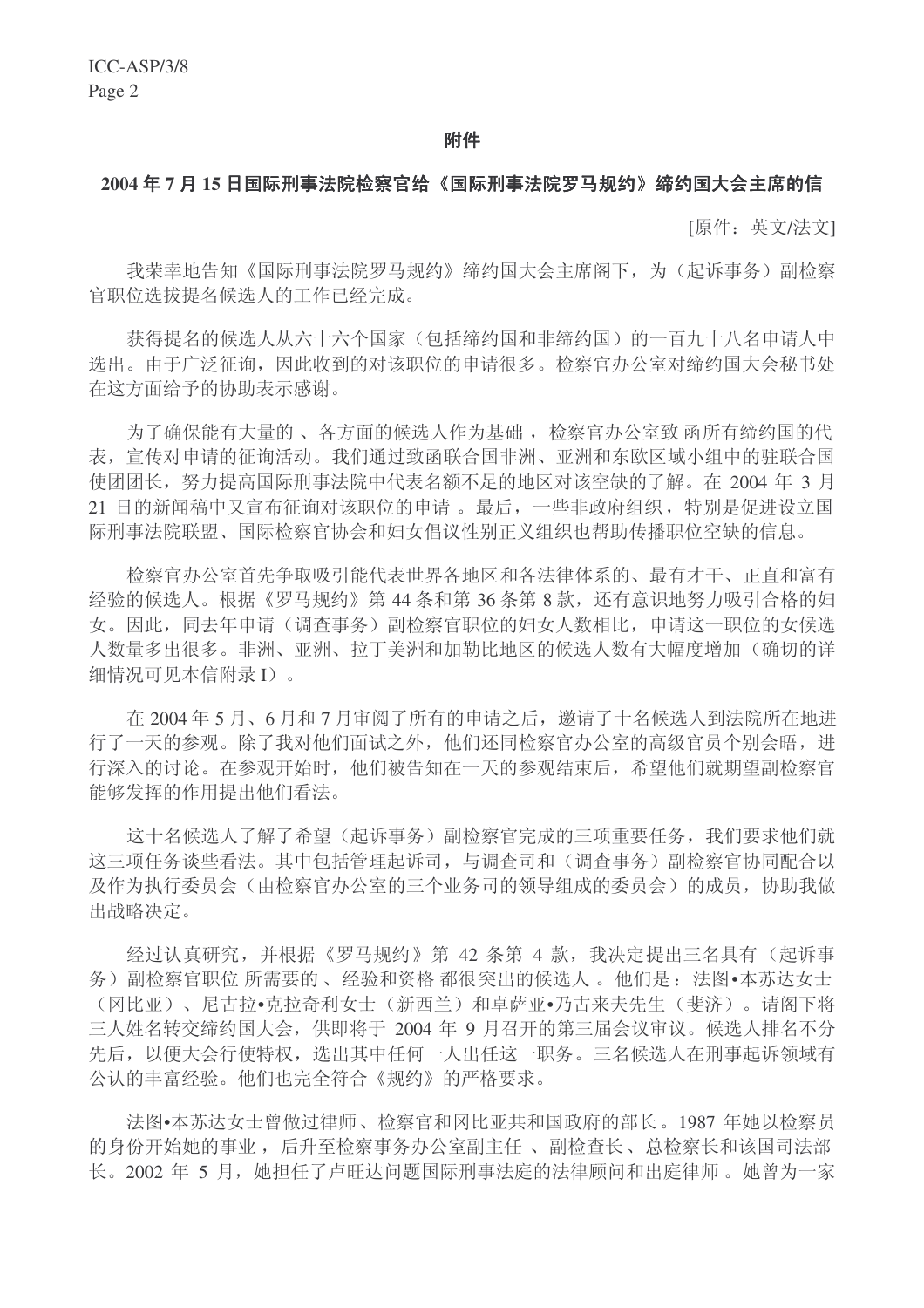#### 附件

#### 2004 年 7 月 15 日国际刑事法院检察官给《国际刑事法院罗马规约》缔约国大会主席的信

[原件: 英文/法文]

我荣幸地告知《国际刑事法院罗马规约》缔约国大会主席阁下,为(起诉事务)副检察 官职位选拔提名候选人的工作已经完成。

获得提名的候选人从六十六个国家(包括缔约国和非缔约国)的一百九十八名申请人中 选出。由于广泛征询,因此收到的对该职位的申请很多。检察官办公室对缔约国大会秘书处 在这方面给予的协助表示感谢。

为了确保能有大量的、各方面的候选人作为基础, 检察官办公室致 函所有缔约国的代 表, 宣传对申请的征询活动。我们通过致函联合国非洲、亚洲和东欧区域小组中的驻联合国 使团团长, 努力提高国际刑事法院中代表名额不足的地区对该空缺的了解。在 2004 年 3 月 21 日的新闻稿中又宣布征询对该职位的申请。最后,一些非政府组织,特别是促进设立国 际刑事法院联盟、国际检察官协会和妇女倡议性别正义组织也帮助传播职位空缺的信息。

检察官办公室首先争取吸引能代表世界各地区和各法律体系的、最有才干、正直和富有 经验的候选人。根据《罗马规约》第44 条和第36 条第8款,还有意识地努力吸引合格的妇 女。因此,同去年申请(调查事务)副检察官职位的妇女人数相比,申请这一职位的女候选 人数量多出很多。非洲、亚洲、拉丁美洲和加勒比地区的候选人数有大幅度增加(确切的详 细情况可见本信附录 I)。

在 2004年5月、6月和7月审阅了所有的申请之后, 邀请了十名候选人到法院所在地进 行了一天的参观。除了我对他们面试之外,他们还同检察官办公室的高级官员个别会晤,进 行深入的讨论。在参观开始时,他们被告知在一天的参观结束后,希望他们就期望副检察官 能够发挥的作用提出他们看法。

这十名候选人了解了希望(起诉事务)副检察官完成的三项重要任务,我们要求他们就 这三项任务谈些看法。其中包括管理起诉司, 与调杳司和(调杳事务)副检察官协同配合以 及作为执行委员会(由检察官办公室的三个业务司的领导组成的委员会)的成员,协助我做 出战略决定。

经讨认真研究,并根据《罗马规约》第 42 条第 4 款,我决定提出三名具有(起诉事 务)副检察官职位 所需要的、经验和资格 都很突出的候选人。他们是: 法图•本苏达女士 (冈比亚)、尼古拉•克拉奇利女士(新西兰)和卓萨亚•乃古来夫先生(斐济)。请阁下将 三人姓名转交缔约国大会, 供即将于 2004 年 9 月召开的第三届会议审议。候选人排名不分 先后, 以便大会行使特权, 选出其中任何一人出任这一职务。三名候选人在刑事起诉领域有 公认的丰富经验。他们也完全符合《规约》的严格要求。

法图•本苏达女士曾做过律师、检察官和冈比亚共和国政府的部长。1987 年她以检察员 的身份开始她的事业,后升至检察事务办公室副主任、副检查长、总检察长和该国司法部 长。2002 年 5 月, 她担任了卢旺达问题国际刑事法庭的法律顾问和出庭律师。她曾为一家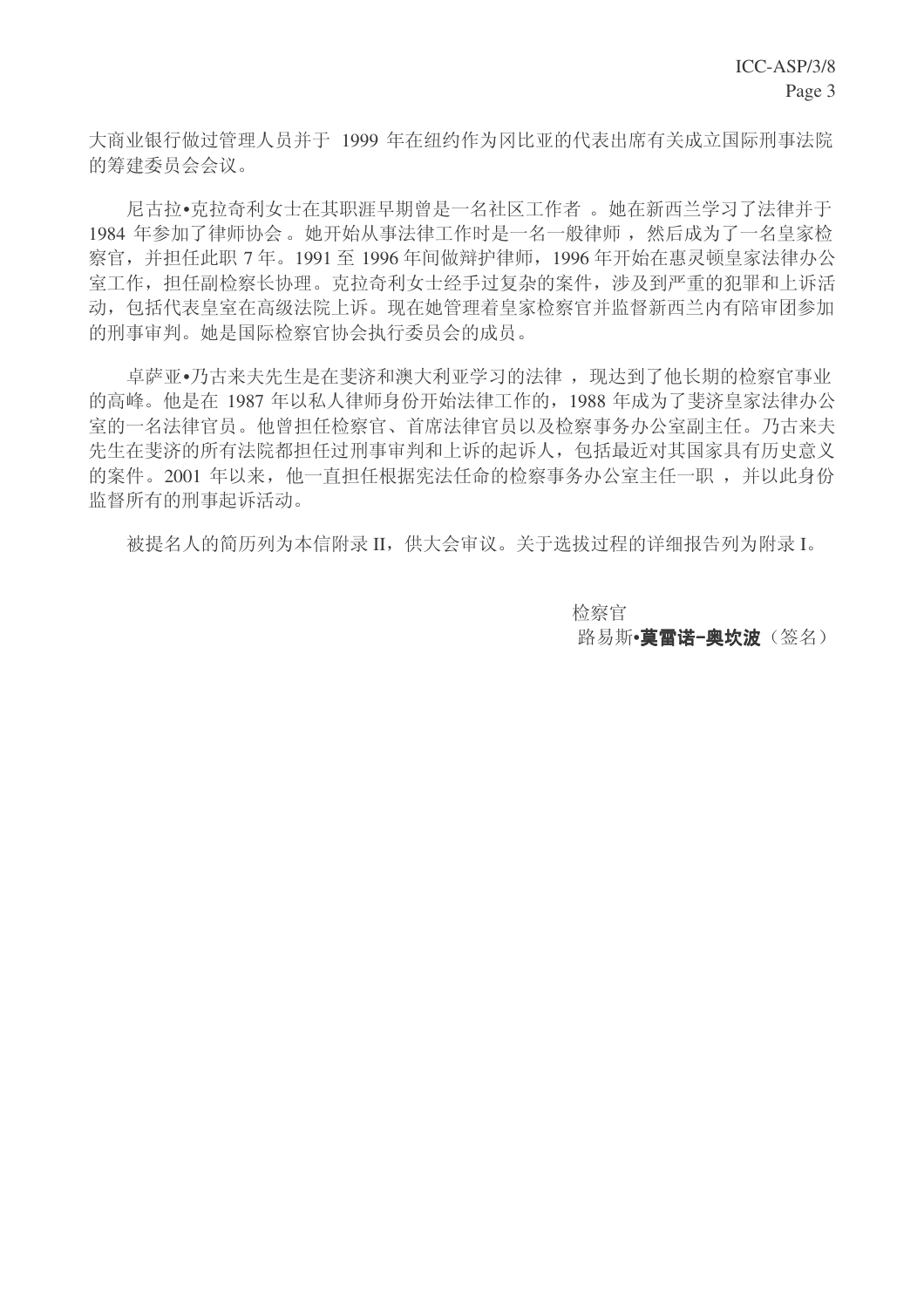大商业银行做过管理人员并于 1999 年在纽约作为冈比亚的代表出席有关成立国际刑事法院 的筹建委员会会议。

尼古拉•克拉奇利女士在其职涯早期曾是一名社区工作者。她在新西兰学习了法律并于 1984 年参加了律师协会。她开始从事法律工作时是一名一般律师, 然后成为了一名皇家检 察官,并担任此职 7年。1991 至 1996 年间做辩护律师, 1996 年开始在惠灵顿皇家法律办公 室工作, 担任副检察长协理。克拉奇利女士经手过复杂的案件, 涉及到严重的犯罪和上诉活 动,包括代表皇室在高级法院上诉。现在她管理着皇家检察官并监督新西兰内有陪审团参加 的刑事审判。她是国际检察官协会执行委员会的成员。

卓萨亚•乃古来夫先生是在斐济和澳大利亚学习的法律, 现达到了他长期的检察官事业 的高峰。他是在1987年以私人律师身份开始法律工作的, 1988 年成为了斐济皇家法律办公 室的一名法律官员。他曾担任检察官、首席法律官员以及检察事务办公室副主任。乃古来夫 先生在斐济的所有法院都担任过刑事审判和上诉的起诉人, 包括最近对其国家具有历史意义 的案件。2001 年以来, 他一直担任根据宪法任命的检察事务办公室主任一职, 并以此身份 监督所有的刑事起诉活动。

被提名人的简历列为本信附录 II, 供大会审议。关于选拔过程的详细报告列为附录 I。

检察官 路易斯•莫雷诺-奥坎波(签名)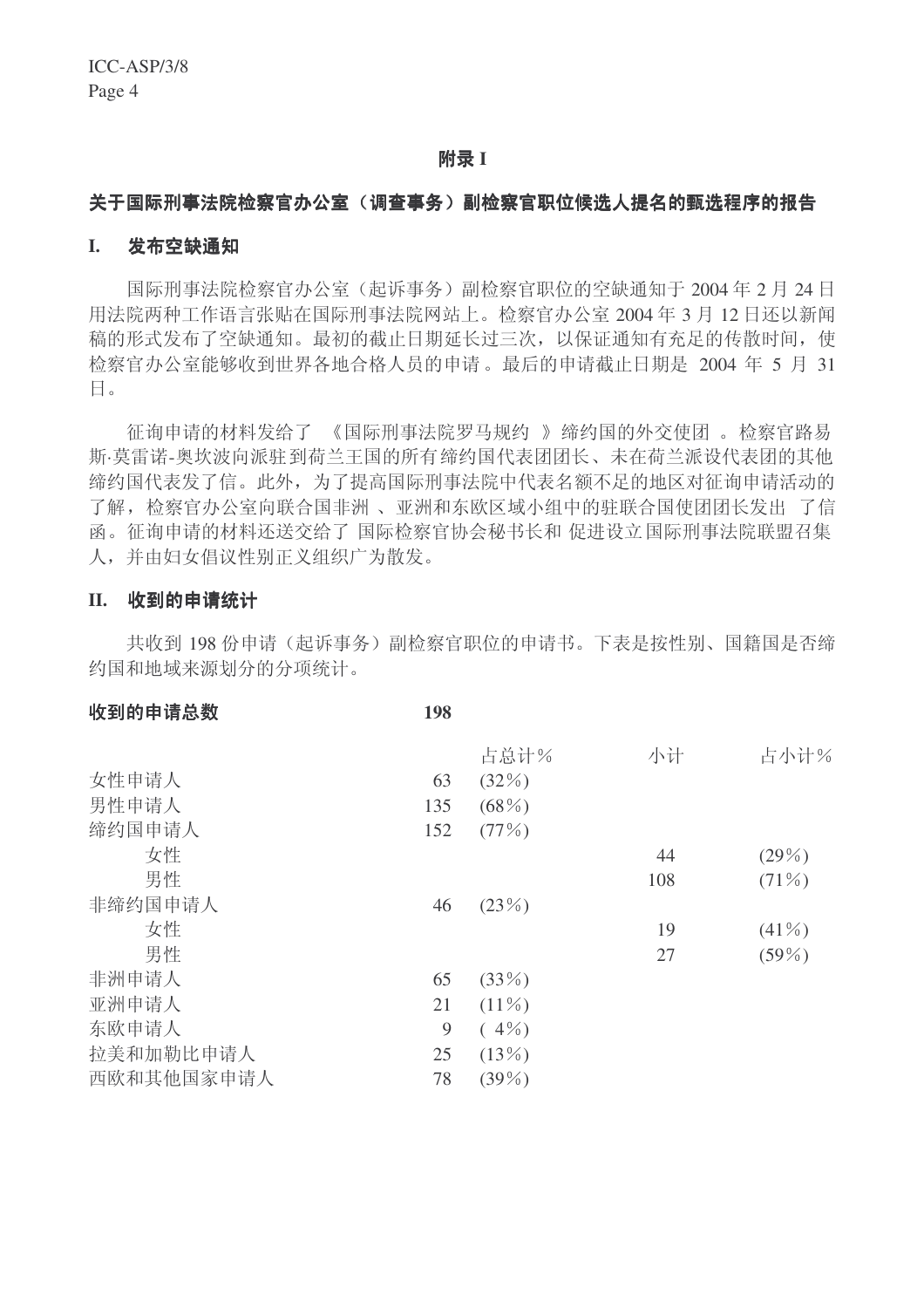#### 䰘ᔩ **I**

#### 关于国际刑事法院检察官办公室(调查事务)副检察官职位候选人提名的甄选程序的报告

#### I. 发布空缺通知

国际刑事法院检察官办公室(起诉事务)副检察官职位的空缺通知于2004年2月24日 用法院两种工作语言张贴在国际刑事法院网站上。检察官办公室 2004年3月12日还以新闻 稿的形式发布了空缺通知。最初的截止日期延长过三次,以保证通知有充足的传散时间,使 检察官办公室能够收到世界各地合格人员的申请。最后的申请截止日期是 2004 年 5 月 31  $\Box$ 

征询申请的材料发给了 《国际刑事法院罗马规约 》缔约国的外交使团 。检察官路易 斯·莫雷诺-奥坎波向派驻到荷兰王国的所有缔约国代表团团长、未在荷兰派设代表团的其他 缔约国代表发了信。此外, 为了提高国际刑事法院中代表名额不足的地区对征询申请活动的 了解, 检察官办公室向联合国非洲、亚洲和东欧区域小组中的驻联合国使团团长发出了信 函。征询申请的材料还送交给了 国际检察官协会秘书长和 促进设立国际刑事法院联盟召集 人,并由妇女倡议性别正义组织广为散发。

#### II. 收到的申请统计

共收到 198 份申请(起诉事务)副检察官职位的申请书。下表是按性别、国籍国是否缔 约国和地域来源划分的分项统计。

| 收到的申请总数    | 198 |          |     |          |
|------------|-----|----------|-----|----------|
|            |     | 占总计%     | 小计  | 占小计%     |
| 女性申请人      | 63  | (32%)    |     |          |
| 男性申请人      | 135 | $(68\%)$ |     |          |
| 缔约国申请人     | 152 | (77%)    |     |          |
| 女性         |     |          | 44  | $(29\%)$ |
| 男性         |     |          | 108 | $(71\%)$ |
| 非缔约国申请人    | 46  | (23%)    |     |          |
| 女性         |     |          | 19  | $(41\%)$ |
| 男性         |     |          | 27  | $(59\%)$ |
| 非洲申请人      | 65  | (33%)    |     |          |
| 亚洲申请人      | 21  | $(11\%)$ |     |          |
| 东欧申请人      | 9   | $(4\%)$  |     |          |
| 拉美和加勒比申请人  | 25  | (13%)    |     |          |
| 西欧和其他国家申请人 | 78  | $(39\%)$ |     |          |
|            |     |          |     |          |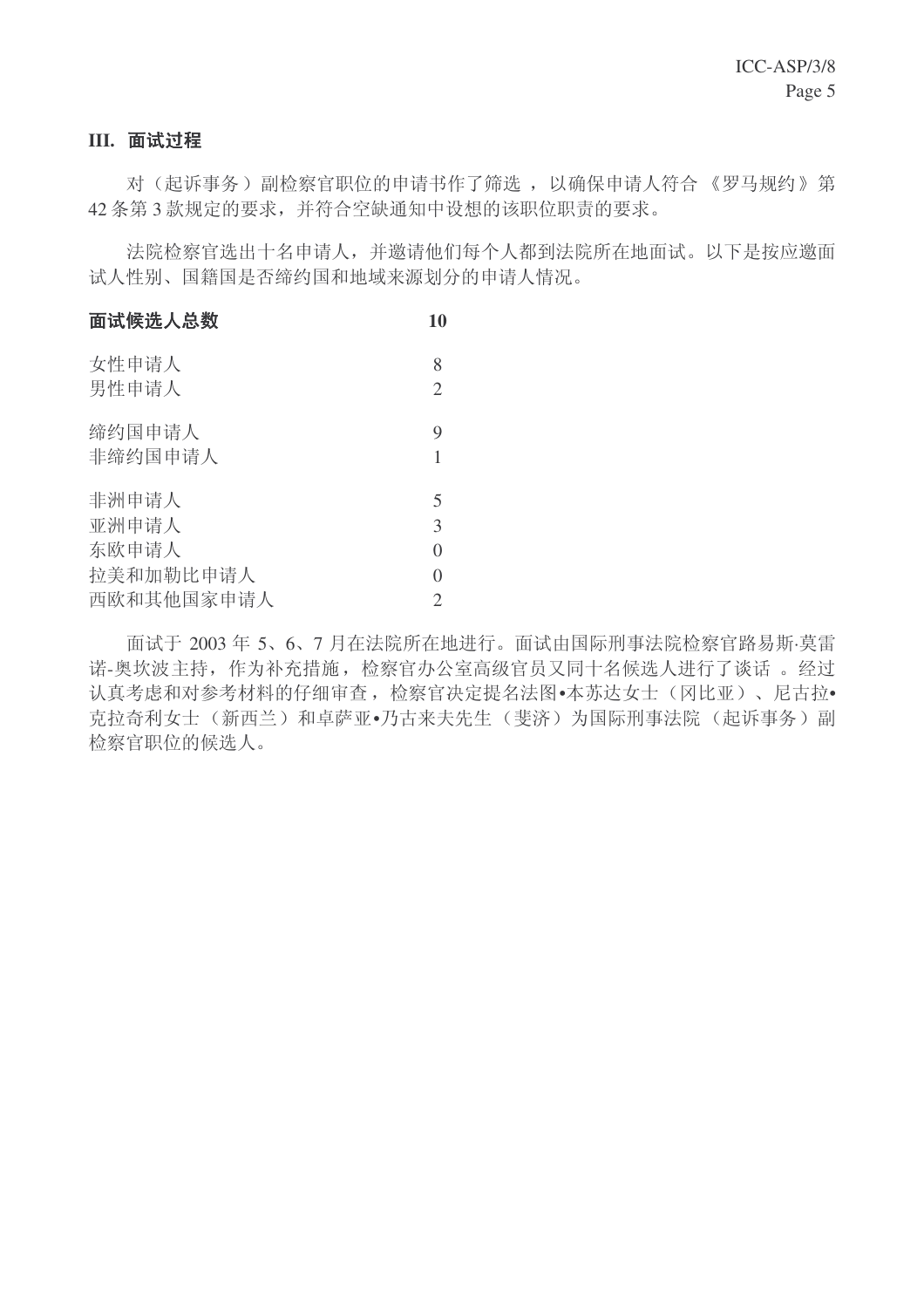## **III.** 面试过程

对(起诉事务)副检察官职位的申请书作了筛选, 以确保申请人符合《罗马规约》第 42 条第3款规定的要求,并符合空缺通知中设想的该职位职责的要求。

法院检察官选出十名申请人,并邀请他们每个人都到法院所在地面试。以下是按应邀面 试人性别、国籍国是否缔约国和地域来源划分的申请人情况。

| 面试候选人总数           | 10                  |
|-------------------|---------------------|
| 女性申请人<br>男性申请人    | 8<br>$\overline{2}$ |
| 缔约国申请人<br>非缔约国申请人 | 9<br>1              |
| 非洲申请人             | 5                   |
| 亚洲申请人             | 3                   |
| 东欧申请人             | $\theta$            |
| 拉美和加勒比申请人         | $\theta$            |
| 西欧和其他国家申请人        | $\overline{2}$      |

面试于 2003 年 5、6、7 月在法院所在地进行。面试由国际刑事法院检察官路易斯·莫雷 诺-奥坎波主持, 作为补充措施, 检察官办公室高级官员又同十名候选人进行了谈话。 经过 认真考虑和对参考材料的仔细审查, 检察官决定提名法图•本苏达女士(冈比亚)、尼古拉• 克拉奇利女士(新西兰)和卓萨亚•乃古来夫先生(斐济)为国际刑事法院(起诉事务)副 检察官职位的候选人。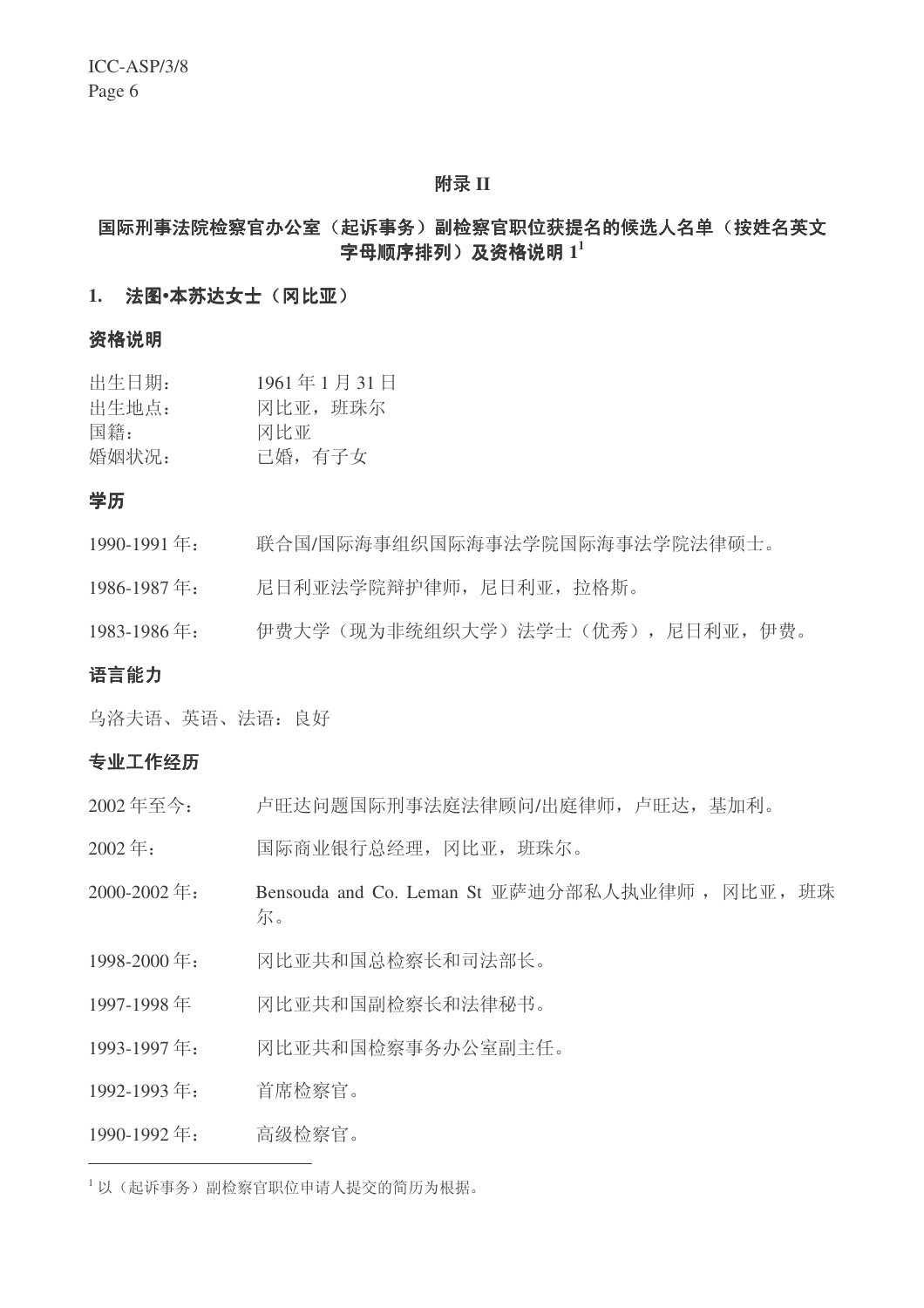#### 䰘ᔩ **II**

## 国际刑事法院检察官办公室(起诉事务)副检察官职位获提名的候选人名单(按姓名英文 字母顺序排列)及资格说明  $1^1$

#### 1. 法图•本苏达女士(冈比亚)

## 咨格说明

| 出生日期: | 1961年1月31日 |
|-------|------------|
| 出生地点: | 冈比亚, 班珠尔   |
| 国籍:   | 冈比亚        |
| 婚姻状况: | 已婚, 有子女    |

## 学历

- 1990-1991 ᑈ˖ 㘨ড়/䰙⍋џ㒘㒛䰙⍋џ⊩ᄺ䰶䰙⍋џ⊩ᄺ䰶⊩ᕟ⸩DŽ
- 1986-1987年: 尼日利亚法学院辩护律师, 尼日利亚, 拉格斯。
- 1983-1986年: 伊费大学(现为非统组织大学)法学士(优秀),尼日利亚,伊费。

## 语言能力

乌洛夫语、英语、法语: 良好

#### 专业工作经历

- 2002年至今: 卢旺达问题国际刑事法庭法律顾问/出庭律师, 卢旺达, 基加利。
- 2002年: 国际商业银行总经理, 冈比亚, 班珠尔。
- 2000-2002年: Bensouda and Co. Leman St 亚萨迪分部私人执业律师, 冈比亚, 班珠 尔。
- 1998-2000 年: 网比亚共和国总检察长和司法部长。
- 1997-1998 年 网比亚共和国副检察长和法律秘书。
- 1993-1997年: 冈比亚共和国检察事务办公室副主任。
- 1992-1993年: 首席检察官。

#### 1990-1992年: 高级检察官。

 $^{-1}$ 以(起诉事务)副检察官职位申请人提交的简历为根据。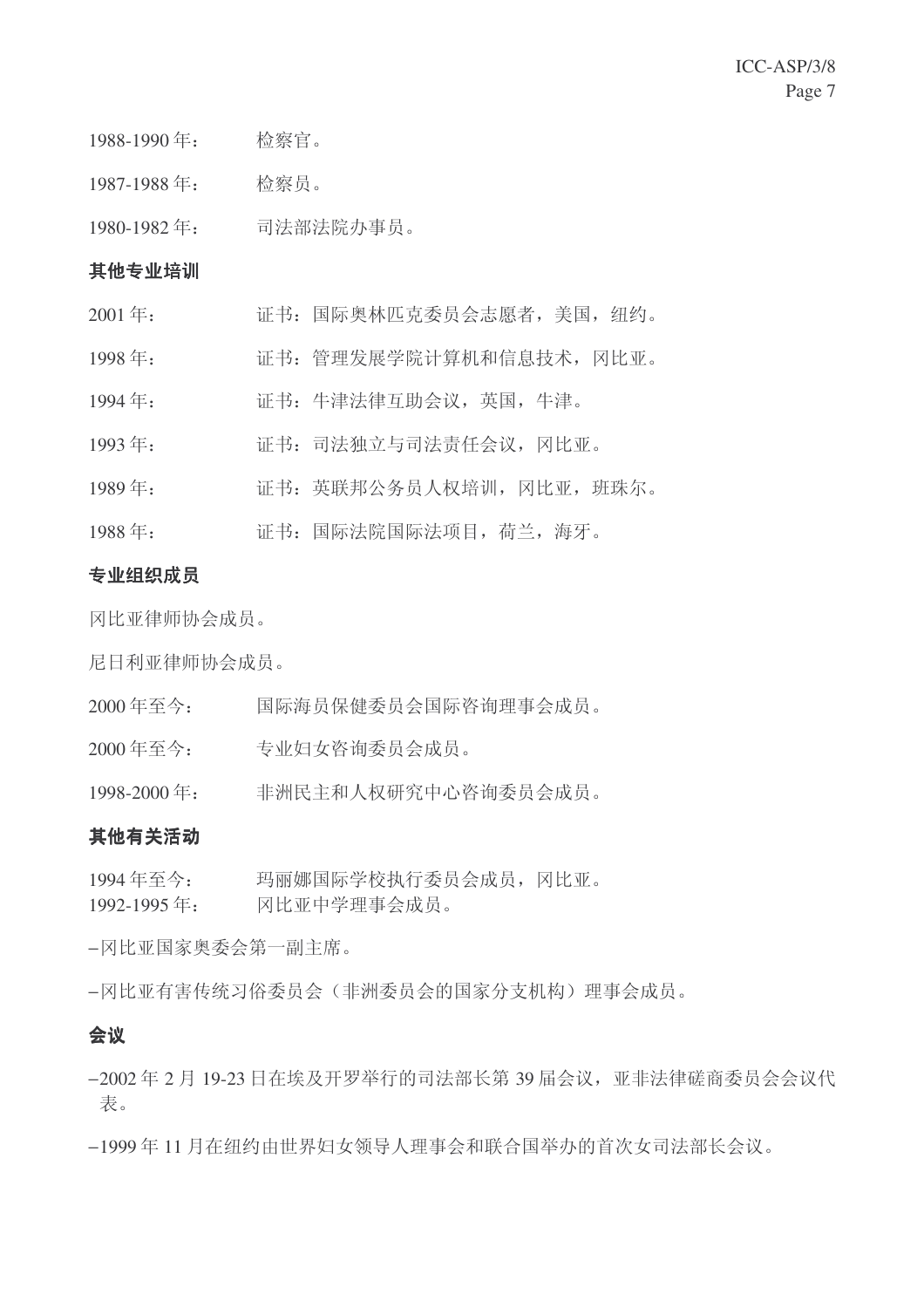1987-1988年: 检察员。

1980-1982年: 司法部法院办事员。

## 其他专业培训

- 2001 ᑈ˖ 䆕к˖䰙༹ᵫऍܟྨਬӮᖫᜓ㗙ˈ㕢ˈ㒑㑺DŽ
- 1998年: 证书: 管理发展学院计算机和信息技术, 冈比亚。
- 1994年: 证书: 牛津法律互助会议, 英国, 牛津。
- 1993年: 证书: 司法独立与司法责任会议, 冈比亚。
- 1989年: 证书: 英联邦公务员人权培训, 冈比亚, 班珠尔。
- 1988年: 证书: 国际法院国际法项目, 荷兰, 海牙。

## 专业组织成员

冈比亚律师协会成员。

尼日利亚律师协会成员。

- 2000 年至今: 国际海员保健委员会国际咨询理事会成员。
- 2000 年至今: 专业妇女咨询委员会成员。

1998-2000 年: 非洲民主和人权研究中心咨询委员会成员。

## 其他有关活动

1994年至今: 玛丽娜国际学校执行委员会成员, 冈比亚。 1992-1995 年: 网比亚中学理事会成员。

−冈比亚国家奥委会第一副主席。

−冈比亚有害传统习俗委员会(非洲委员会的国家分支机构)理事会成员。

## 会议

- −2002年2月19-23日在埃及开罗举行的司法部长第39届会议, 亚非法律磋商委员会会议代 表。
- −1999年11月在纽约由世界妇女领导人理事会和联合国举办的首次女司法部长会议。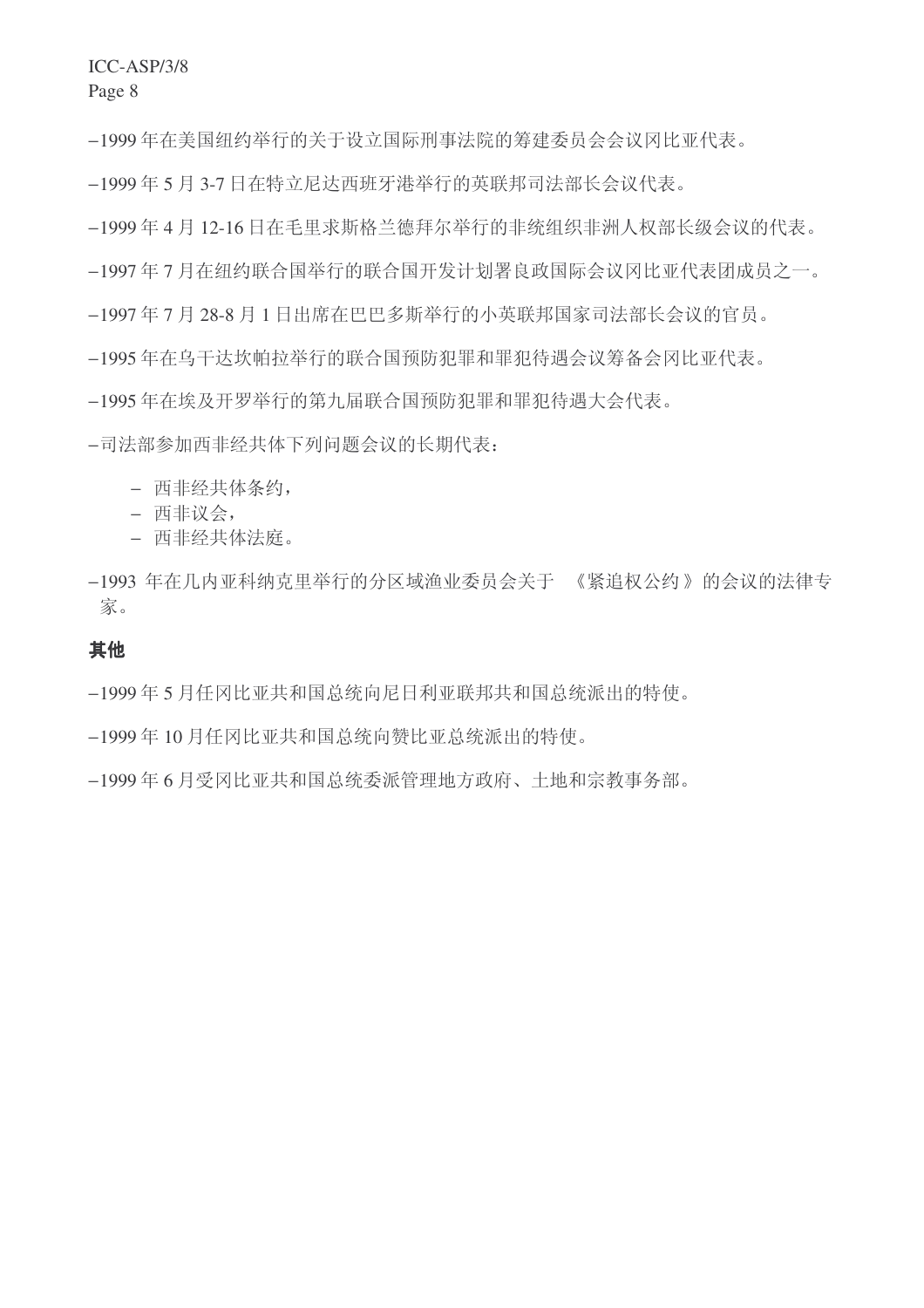−1999年在美国纽约举行的关于设立国际刑事法院的筹建委员会会议冈比亚代表。

−1999年5月3-7日在特立尼达西班牙港举行的英联邦司法部长会议代表。

−1999年4月12-16日在毛里求斯格兰德拜尔举行的非统组织非洲人权部长级会议的代表。

−1997年7月在纽约联合国举行的联合国开发计划署良政国际会议冈比亚代表团成员之一。

−1997年7月28-8月1日出席在巴巴多斯举行的小英联邦国家司法部长会议的官员。

−1995年在乌干达坎帕拉举行的联合国预防犯罪和罪犯待遇会议筹备会冈比亚代表。

−1995年在埃及开罗举行的第九届联合国预防犯罪和罪犯待遇大会代表。

−司法部参加西非经共体下列问题会议的长期代表:

- 西非经共体条约,
- **西非议会,**
- − 西非经共体法庭。
- −1993 年在几内亚科纳克里举行的分区域渔业委员会关于 《紧追权公约》的会议的法律专 家。

## 其他

−1999年5月任冈比亚共和国总统向尼日利亚联邦共和国总统派出的特使。

−1999年10月任冈比亚共和国总统向赞比亚总统派出的特使。

−1999年6月受冈比亚共和国总统委派管理地方政府、土地和宗教事务部。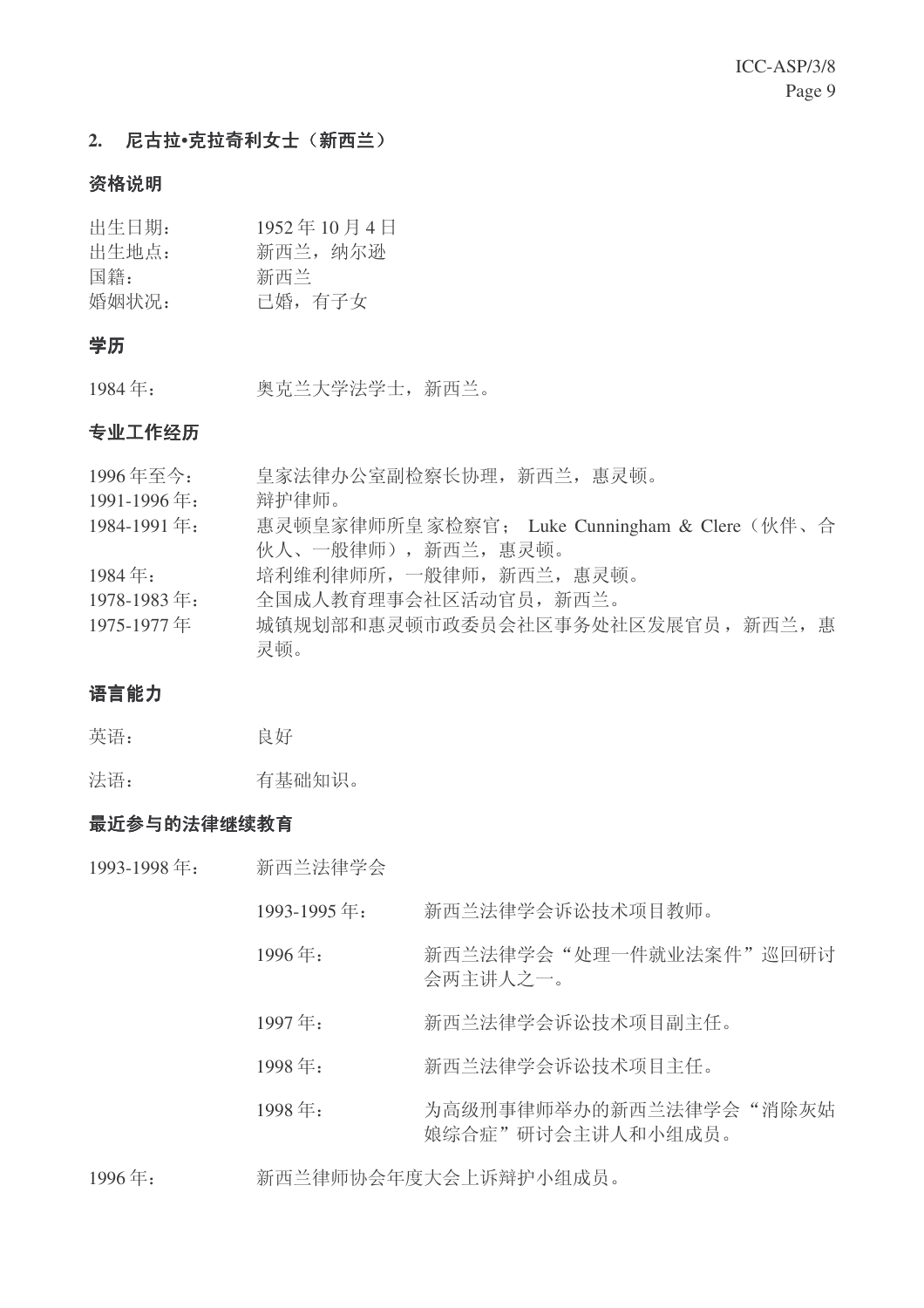## 2. 尼古拉·克拉奇利女士(新西兰)

## 资格说明

| 出生日期: | 1952年10月4日 |
|-------|------------|
| 出生地点: | 新西兰, 纳尔逊   |
| 国籍:   | 新西兰        |
| 婚姻状况: | 已婚, 有子女    |

## 学历

1984年: 奥克兰大学法学士, 新西兰。

## 专业工作经历

| 1996年至今:             | 皇家法律办公室副检察长协理, 新西兰, 惠灵顿。                     |
|----------------------|----------------------------------------------|
| 1991-1996年:          | 辩护律师。                                        |
| 1984-1991年:          | 惠灵顿皇家律师所皇家检察官; Luke Cunningham & Clere (伙伴、合 |
|                      | 伙人、一般律师), 新西兰, 惠灵顿。                          |
| $1984 \, \text{E}$ : | 培利维利律师所, 一般律师, 新西兰, 惠灵顿。                     |
| 1978-1983年:          | 全国成人教育理事会社区活动官员, 新西兰。                        |
| 1975-1977年           | 城镇规划部和惠灵顿市政委员会社区事务处社区发展官员, 新西兰, 惠            |
|                      | 灵顿。                                          |
|                      |                                              |

## 语言能力

英语: 良好

法语: 有基础知识。

## 最近参与的法律继续教育

- 1993-1998年: 新西兰法律学会
	- 1993-1995 年: 新西兰法律学会诉讼技术项目教师。
	- 1996年: 新西兰法律学会"处理一件就业法案件"巡回研讨 会两主讲人之一。
	- 1997年: 新西兰法律学会诉讼技术项目副主任。
	- 1998年: 新西兰法律学会诉讼技术项目主任。
	- 1998年: 为高级刑事律师举办的新西兰法律学会"消除灰姑 娘综合症"研讨会主讲人和小组成员。

## 1996年: 新西兰律师协会年度大会上诉辩护小组成员。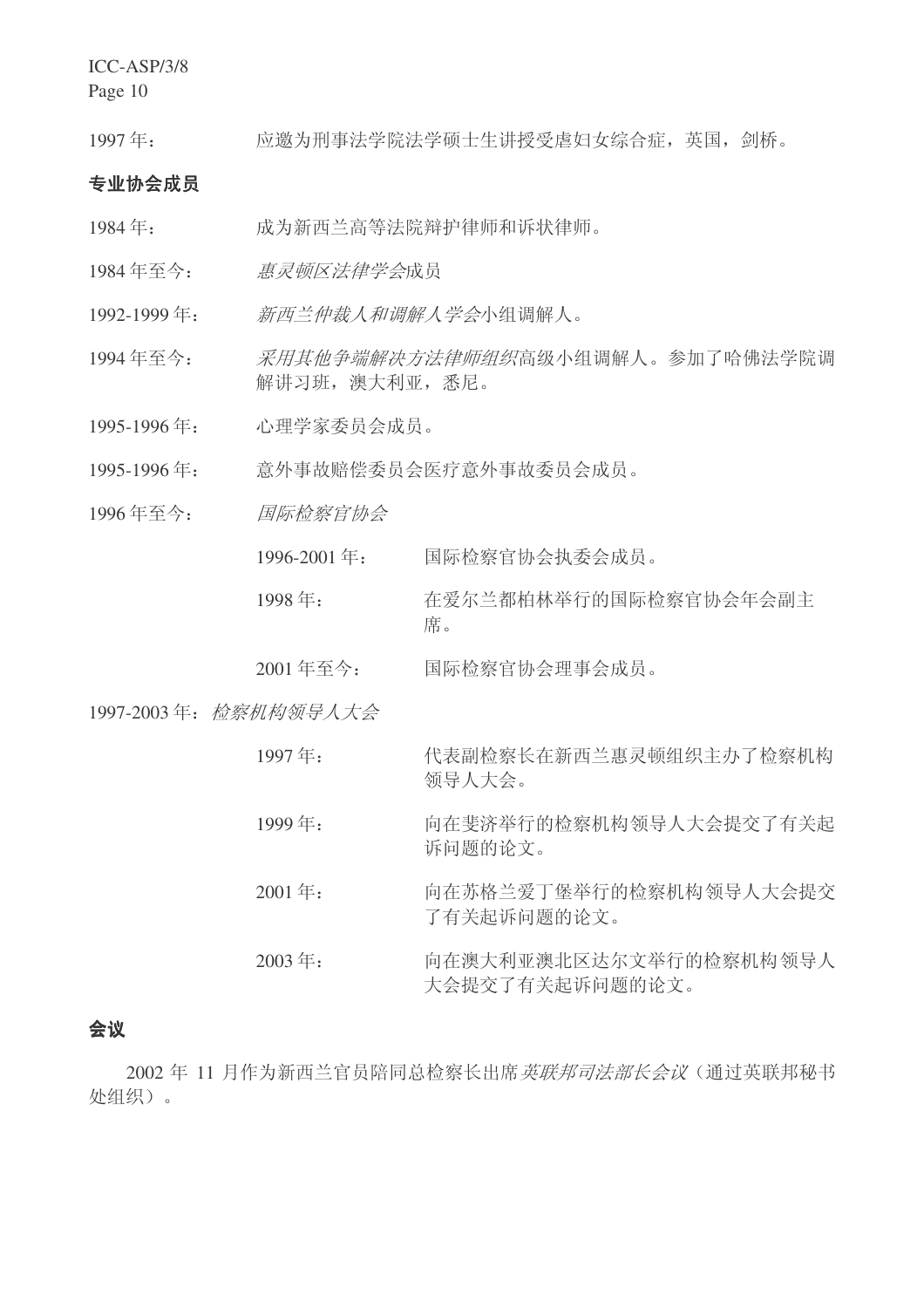ICC-ASP/3/8

Page 10

1997年: 应邀为刑事法学院法学硕士生讲授受虐妇女综合症,英国,剑桥。

## 专业协会成员

- 1984年: 成为新西兰高等法院辩护律师和诉状律师。
- 1984年至今: 惠灵顿区法律学会成员
- 1992-1999年: 新西兰仲裁人和调解人学会小组调解人。
- 1994年至今: 采用其他争端解决方法律师组织高级小组调解人。参加了哈佛法学院调 解讲习班, 澳大利亚, 悉尼。
- 1995-1996年: 心理学家委员会成员。
- 1995-1996年: 意外事故赔偿委员会医疗意外事故委员会成员。
- 1996年至今: 国际检察官协会
	- 1996-2001 年: 国际检察官协会执委会成员。
	- 1998年: 在爱尔兰都柏林举行的国际检察官协会年会副主 席。
	- 2001年至今: 国际检察官协会理事会成员。

## 1997-2003年: 检察机构领导人大会

| 代表副检察长在新西兰惠灵顿组织主办了检察机构 |
|------------------------|
| 领导人大会。                 |
|                        |

- 1999年: 向在斐济举行的检察机构领导人大会提交了有关起 诉问题的论文。
- 2001年: 向在苏格兰爱丁堡举行的检察机构领导人大会提交 了有关起诉问题的论文。
- 2003年: 向在澳大利亚澳北区达尔文举行的检察机构领导人 大会提交了有关起诉问题的论文。

## 会议

2002 年 11 月作为新西兰官员陪同总检察长出席*英联邦司法部长会议*(通过英联邦秘书 处组织)。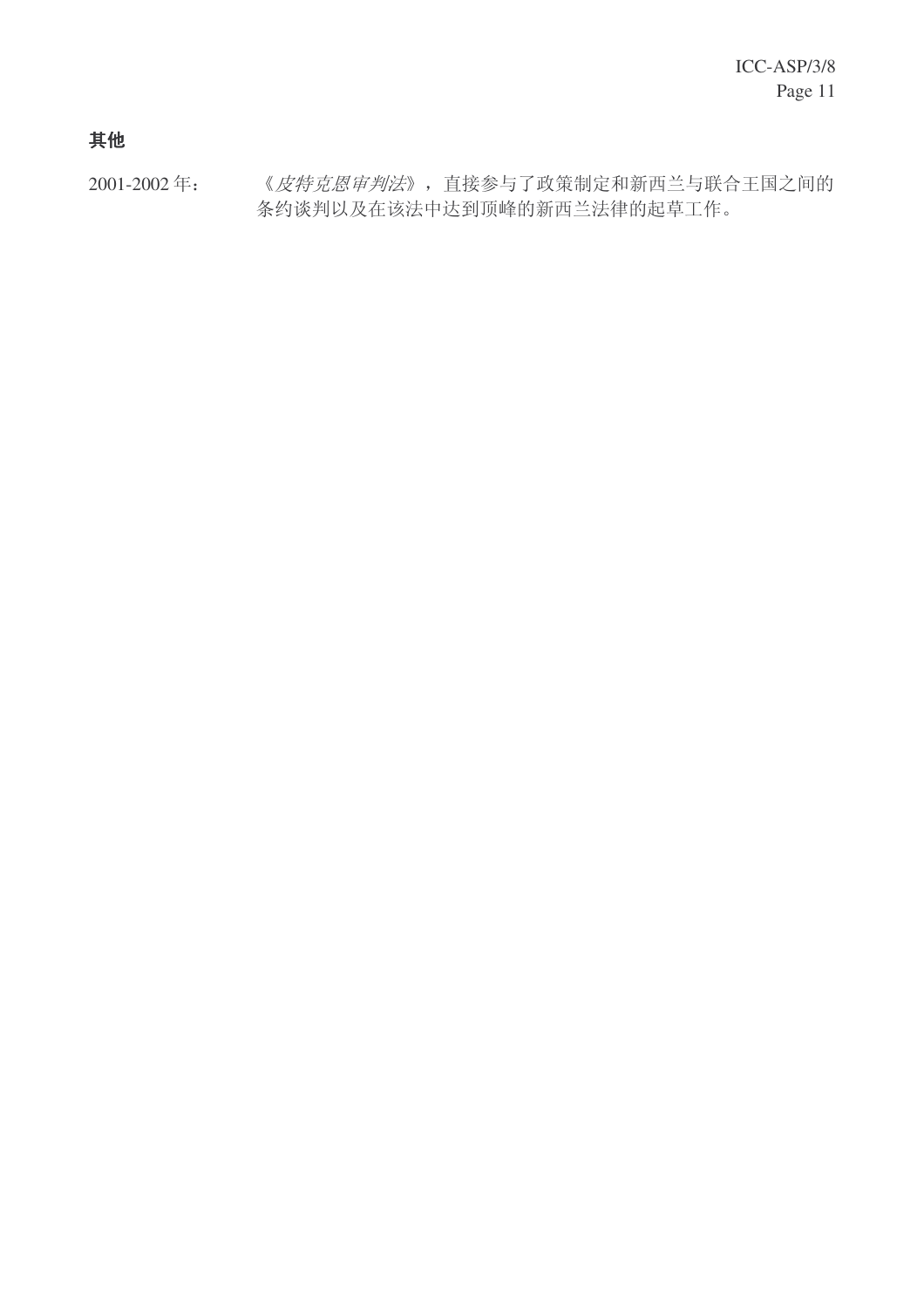# 其他

2001-2002年: 《皮特克恩审判法》, 直接参与了政策制定和新西兰与联合王国之间的 条约谈判以及在该法中达到顶峰的新西兰法律的起草工作。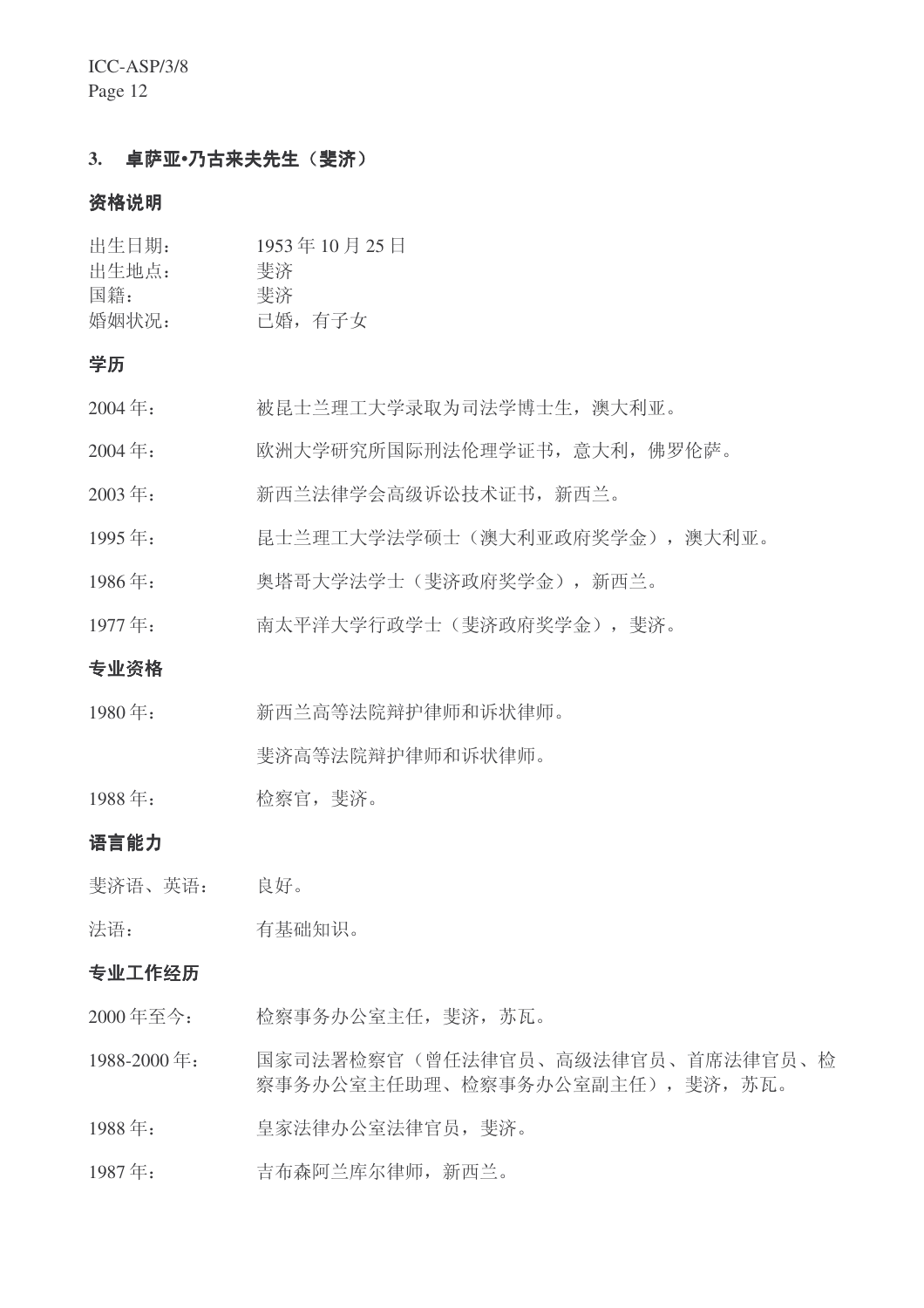ICC-ASP/3/8 Page 12

## 3. 卓萨亚·乃古来夫先生(斐济)

## 资格说明

| 出生日期: | 1953年10月25日 |
|-------|-------------|
| 出生地点: | 斐济          |
| 国籍:   | 斐济          |
| 婚姻状况: | 已婚,有子女      |

## 学历

| 被昆士兰理工大学录取为司法学博士生, 澳大利亚。<br>2004年: |  |
|------------------------------------|--|
|------------------------------------|--|

- 2004年: 欧洲大学研究所国际刑法伦理学证书, 意大利, 佛罗伦萨。
- 2003年: 新西兰法律学会高级诉讼技术证书,新西兰。
- 1995年: 昆士兰理工大学法学硕士(澳大利亚政府奖学金),澳大利亚。
- 1986年: 奥塔哥大学法学士(斐济政府奖学金), 新西兰。
- 1977年: 南太平洋大学行政学士(斐济政府奖学金), 斐济。

#### 专业资格

1980年: 新西兰高等法院辩护律师和诉状律师。

斐济高等法院辩护律师和诉状律师。

1988年: 检察官, 斐济。

## 语言能力

斐济语、英语: 良好。

法语: 有基础知识。

#### 专业工作经历

- 2000年至今: 检察事务办公室主任, 斐济, 苏瓦。
- 1988-2000 年: 国家司法署检察官(曾任法律官员、高级法律官员、首席法律官员、检 察事务办公室主任助理、检察事务办公室副主任), 斐济, 苏瓦。
- 1988年: 皇家法律办公室法律官员, 斐济。
- 1987年: 吉布森阿兰库尔律师,新西兰。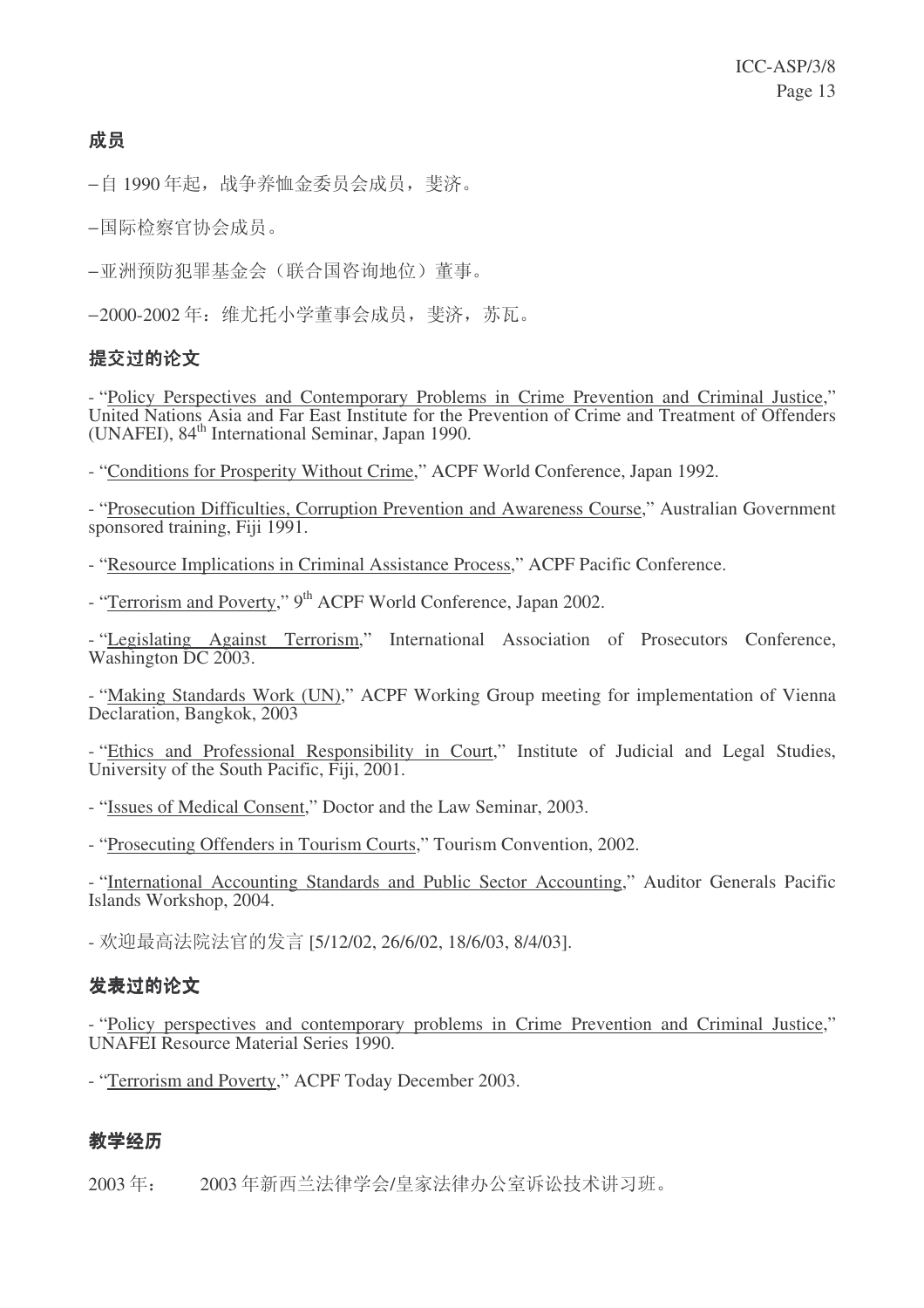# 成员

−自 1990 年起, 战争养恤金委员会成员, 斐济。

−国际检察官协会成员。

−亚洲预防犯罪基金会(联合国咨询地位)董事。

−2000-2002 年: 维尤托小学董事会成员, 斐济, 苏瓦。

## 提交讨的论文

- "Policy Perspectives and Contemporary Problems in Crime Prevention and Criminal Justice," United Nations Asia and Far East Institute for the Prevention of Crime and Treatment of Offenders (UNAFEI), 84<sup>th</sup> International Seminar, Japan 1990.

- "Conditions for Prosperity Without Crime," ACPF World Conference, Japan 1992.

- "Prosecution Difficulties, Corruption Prevention and Awareness Course," Australian Government sponsored training, Fiji 1991.

- "Resource Implications in Criminal Assistance Process," ACPF Pacific Conference.

- "Terrorism and Poverty," 9<sup>th</sup> ACPF World Conference, Japan 2002.

- "Legislating Against Terrorism," International Association of Prosecutors Conference, Washington DC 2003.

- "Making Standards Work (UN)," ACPF Working Group meeting for implementation of Vienna Declaration, Bangkok, 2003

- "Ethics and Professional Responsibility in Court," Institute of Judicial and Legal Studies, University of the South Pacific, Fiji, 2001.

- "Issues of Medical Consent," Doctor and the Law Seminar, 2003.

- "Prosecuting Offenders in Tourism Courts," Tourism Convention, 2002.

- "International Accounting Standards and Public Sector Accounting," Auditor Generals Pacific Islands Workshop, 2004.

- 欢迎最高法院法官的发言 [5/12/02, 26/6/02, 18/6/03, 8/4/03].

## 发表讨的论文

- "Policy perspectives and contemporary problems in Crime Prevention and Criminal Justice," UNAFEI Resource Material Series 1990.

- "Terrorism and Poverty," ACPF Today December 2003.

# 教学经历

2003年: 2003年新西兰法律学会/皇家法律办公室诉讼技术讲习班。